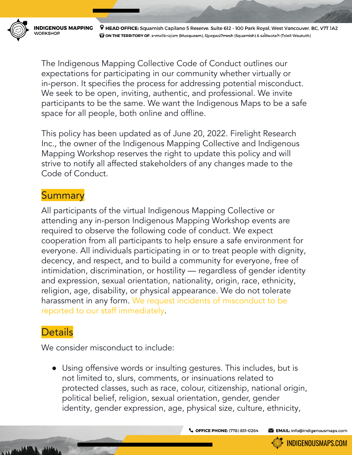**INDICENOUS MAPPING VORKSHOP** 

9 HEAD OFFICE: Squamish Capilano 5 Reserve, Suite 612 - 100 Park Royal, West Vancouver, BC, V7T 1A2 (ÿ) ON THE TERRITORY OF: xwməθkwəýəm (Musqueam), S<u>k</u>wxwú7mesh (Squamish) & səĺilwətaʔł (Tsleil-Waututh)

The Indigenous Mapping Collective Code of Conduct outlines our expectations for participating in our community whether virtually or in-person. It specifies the process for addressing potential misconduct. We seek to be open, inviting, authentic, and professional. We invite participants to be the same. We want the Indigenous Maps to be a safe space for all people, both online and offline.

This policy has been updated as of June 20, 2022. Firelight Research Inc., the owner of the Indigenous Mapping Collective and Indigenous Mapping Workshop reserves the right to update this policy and will strive to notify all affected stakeholders of any changes made to the Code of Conduct.

## **Summary**

All participants of the virtual Indigenous Mapping Collective or attending any in-person Indigenous Mapping Workshop events are required to observe the following code of conduct. We expect cooperation from all participants to help ensure a safe environment for everyone. All individuals participating in or to treat people with dignity, decency, and respect, and to build a community for everyone, free of intimidation, discrimination, or hostility — regardless of gender identity and expression, sexual orientation, nationality, origin, race, ethnicity, religion, age, disability, or physical appearance. We do not tolerate harassment in any form. We request incidents of misconduct to be reported to our staff immediately.

## **Details**

We consider misconduct to include:

● Using offensive words or insulting gestures. This includes, but is not limited to, slurs, comments, or insinuations related to protected classes, such as race, colour, citizenship, national origin, political belief, religion, sexual orientation, gender, gender identity, gender expression, age, physical size, culture, ethnicity,

C OFFICE PHONE: (778) 851-0264

EMAIL: info@indigenousmaps.com

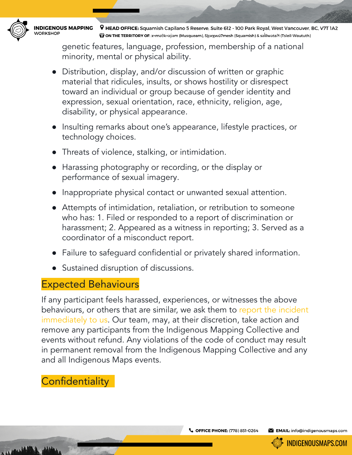

**INDIGENOUS MAPPING /ORKSHOP** 

9 HEAD OFFICE: Squamish Capilano 5 Reserve, Suite 612 - 100 Park Royal, West Vancouver, BC, V7T 1A2 (ÿ) ON THE TERRITORY OF: xwməθkwəýəm (Musqueam), S<u>k</u>wxwú7mesh (Squamish) & səĺilwətaʔł (Tsleil-Waututh)

genetic features, language, profession, membership of a national minority, mental or physical ability.

- Distribution, display, and/or discussion of written or graphic material that ridicules, insults, or shows hostility or disrespect toward an individual or group because of gender identity and expression, sexual orientation, race, ethnicity, religion, age, disability, or physical appearance.
- Insulting remarks about one's appearance, lifestyle practices, or technology choices.
- Threats of violence, stalking, or intimidation.
- Harassing photography or recording, or the display or performance of sexual imagery.
- Inappropriate physical contact or unwanted sexual attention.
- Attempts of intimidation, retaliation, or retribution to someone who has: 1. Filed or responded to a report of discrimination or harassment; 2. Appeared as a witness in reporting; 3. Served as a coordinator of a misconduct report.
- Failure to safeguard confidential or privately shared information.
- Sustained disruption of discussions.

## Expected Behaviours

If any participant feels harassed, experiences, or witnesses the above behaviours, or others that are similar, we ask them to report the incident immediately to us. Our team, may, at their discretion, take action and remove any participants from the Indigenous Mapping Collective and events without refund. Any violations of the code of conduct may result in permanent removal from the Indigenous Mapping Collective and any and all Indigenous Maps events.

## **Confidentiality**

EMAIL: info@indigenousmaps.com